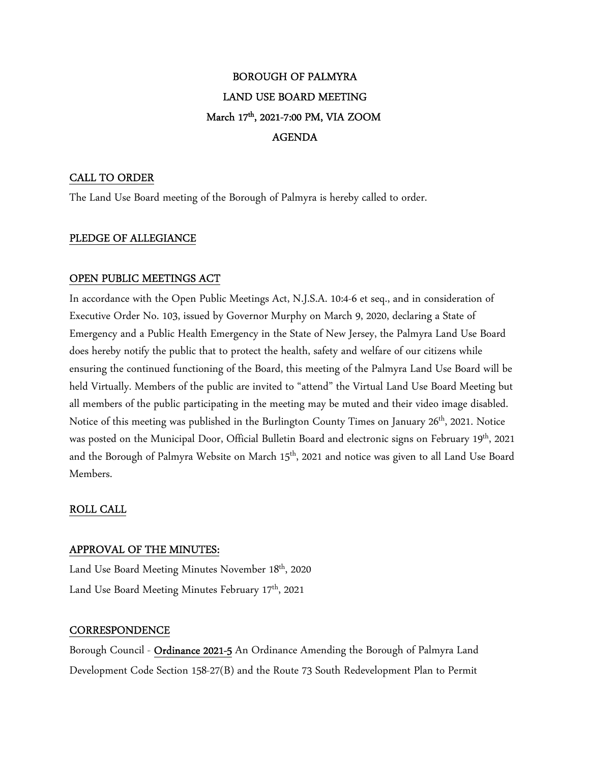# BOROUGH OF PALMYRA LAND USE BOARD MEETING March 17th, 2021-7:00 PM, VIA ZOOM AGENDA

## CALL TO ORDER

The Land Use Board meeting of the Borough of Palmyra is hereby called to order.

## PLEDGE OF ALLEGIANCE

## OPEN PUBLIC MEETINGS ACT

In accordance with the Open Public Meetings Act, N.J.S.A. 10:4-6 et seq., and in consideration of Executive Order No. 103, issued by Governor Murphy on March 9, 2020, declaring a State of Emergency and a Public Health Emergency in the State of New Jersey, the Palmyra Land Use Board does hereby notify the public that to protect the health, safety and welfare of our citizens while ensuring the continued functioning of the Board, this meeting of the Palmyra Land Use Board will be held Virtually. Members of the public are invited to "attend" the Virtual Land Use Board Meeting but all members of the public participating in the meeting may be muted and their video image disabled. Notice of this meeting was published in the Burlington County Times on January 26<sup>th</sup>, 2021. Notice was posted on the Municipal Door, Official Bulletin Board and electronic signs on February 19<sup>th</sup>, 2021 and the Borough of Palmyra Website on March 15<sup>th</sup>, 2021 and notice was given to all Land Use Board Members.

## ROLL CALL

## APPROVAL OF THE MINUTES:

Land Use Board Meeting Minutes November 18<sup>th</sup>, 2020 Land Use Board Meeting Minutes February 17<sup>th</sup>, 2021

## **CORRESPONDENCE**

Borough Council - Ordinance 2021-5 An Ordinance Amending the Borough of Palmyra Land Development Code Section 158-27(B) and the Route 73 South Redevelopment Plan to Permit